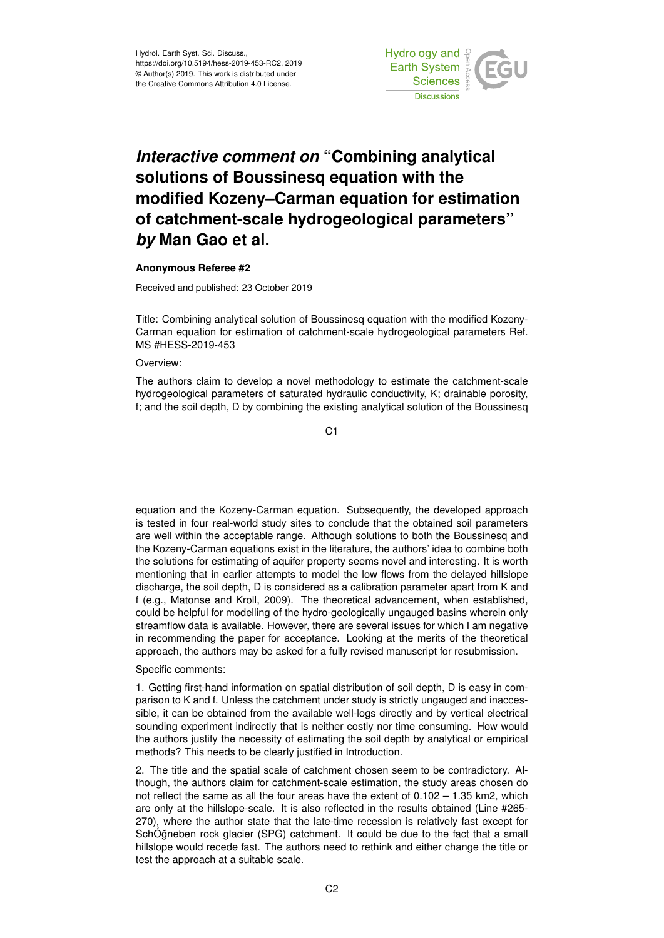

## *Interactive comment on* **"Combining analytical solutions of Boussinesq equation with the modified Kozeny–Carman equation for estimation of catchment-scale hydrogeological parameters"** *by* **Man Gao et al.**

## **Anonymous Referee #2**

Received and published: 23 October 2019

Title: Combining analytical solution of Boussinesq equation with the modified Kozeny-Carman equation for estimation of catchment-scale hydrogeological parameters Ref. MS #HESS-2019-453

## Overview<sup>.</sup>

The authors claim to develop a novel methodology to estimate the catchment-scale hydrogeological parameters of saturated hydraulic conductivity, K; drainable porosity, f; and the soil depth, D by combining the existing analytical solution of the Boussinesq

C1

equation and the Kozeny-Carman equation. Subsequently, the developed approach is tested in four real-world study sites to conclude that the obtained soil parameters are well within the acceptable range. Although solutions to both the Boussinesq and the Kozeny-Carman equations exist in the literature, the authors' idea to combine both the solutions for estimating of aquifer property seems novel and interesting. It is worth mentioning that in earlier attempts to model the low flows from the delayed hillslope discharge, the soil depth, D is considered as a calibration parameter apart from K and f (e.g., Matonse and Kroll, 2009). The theoretical advancement, when established, could be helpful for modelling of the hydro-geologically ungauged basins wherein only streamflow data is available. However, there are several issues for which I am negative in recommending the paper for acceptance. Looking at the merits of the theoretical approach, the authors may be asked for a fully revised manuscript for resubmission.

## Specific comments:

1. Getting first-hand information on spatial distribution of soil depth, D is easy in comparison to K and f. Unless the catchment under study is strictly ungauged and inaccessible, it can be obtained from the available well-logs directly and by vertical electrical sounding experiment indirectly that is neither costly nor time consuming. How would the authors justify the necessity of estimating the soil depth by analytical or empirical methods? This needs to be clearly justified in Introduction.

2. The title and the spatial scale of catchment chosen seem to be contradictory. Although, the authors claim for catchment-scale estimation, the study areas chosen do not reflect the same as all the four areas have the extent of 0.102 – 1.35 km2, which are only at the hillslope-scale. It is also reflected in the results obtained (Line #265- 270), where the author state that the late-time recession is relatively fast except for SchÓğneben rock glacier (SPG) catchment. It could be due to the fact that a small hillslope would recede fast. The authors need to rethink and either change the title or test the approach at a suitable scale.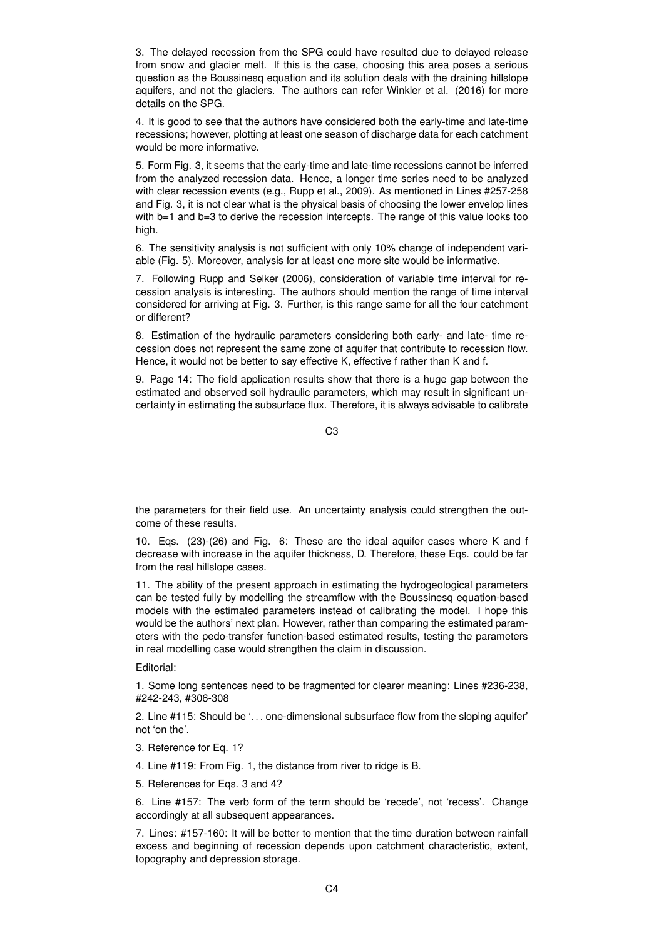3. The delayed recession from the SPG could have resulted due to delayed release from snow and glacier melt. If this is the case, choosing this area poses a serious question as the Boussinesq equation and its solution deals with the draining hillslope aquifers, and not the glaciers. The authors can refer Winkler et al. (2016) for more details on the SPG.

4. It is good to see that the authors have considered both the early-time and late-time recessions; however, plotting at least one season of discharge data for each catchment would be more informative.

5. Form Fig. 3, it seems that the early-time and late-time recessions cannot be inferred from the analyzed recession data. Hence, a longer time series need to be analyzed with clear recession events (e.g., Rupp et al., 2009). As mentioned in Lines #257-258 and Fig. 3, it is not clear what is the physical basis of choosing the lower envelop lines with b=1 and b=3 to derive the recession intercepts. The range of this value looks too high.

6. The sensitivity analysis is not sufficient with only 10% change of independent variable (Fig. 5). Moreover, analysis for at least one more site would be informative.

7. Following Rupp and Selker (2006), consideration of variable time interval for recession analysis is interesting. The authors should mention the range of time interval considered for arriving at Fig. 3. Further, is this range same for all the four catchment or different?

8. Estimation of the hydraulic parameters considering both early- and late- time recession does not represent the same zone of aquifer that contribute to recession flow. Hence, it would not be better to say effective K, effective f rather than K and f.

9. Page 14: The field application results show that there is a huge gap between the estimated and observed soil hydraulic parameters, which may result in significant uncertainty in estimating the subsurface flux. Therefore, it is always advisable to calibrate

C3

the parameters for their field use. An uncertainty analysis could strengthen the outcome of these results.

10. Eqs. (23)-(26) and Fig. 6: These are the ideal aquifer cases where K and f decrease with increase in the aquifer thickness, D. Therefore, these Eqs. could be far from the real hillslope cases.

11. The ability of the present approach in estimating the hydrogeological parameters can be tested fully by modelling the streamflow with the Boussinesq equation-based models with the estimated parameters instead of calibrating the model. I hope this would be the authors' next plan. However, rather than comparing the estimated parameters with the pedo-transfer function-based estimated results, testing the parameters in real modelling case would strengthen the claim in discussion.

Editorial:

1. Some long sentences need to be fragmented for clearer meaning: Lines #236-238, #242-243, #306-308

2. Line #115: Should be '. . . one-dimensional subsurface flow from the sloping aquifer' not 'on the'.

3. Reference for Eq. 1?

4. Line #119: From Fig. 1, the distance from river to ridge is B.

5. References for Eqs. 3 and 4?

6. Line #157: The verb form of the term should be 'recede', not 'recess'. Change accordingly at all subsequent appearances.

7. Lines: #157-160: It will be better to mention that the time duration between rainfall excess and beginning of recession depends upon catchment characteristic, extent, topography and depression storage.